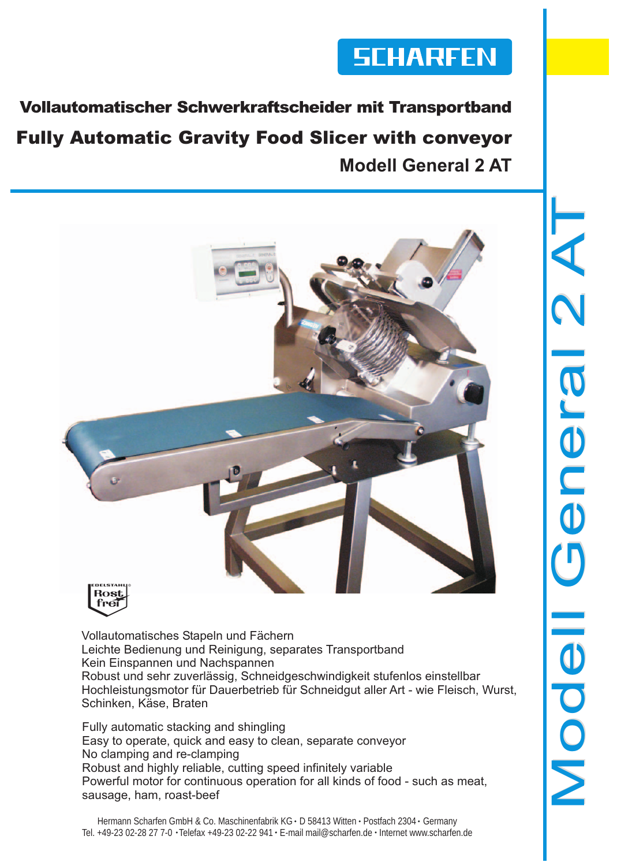

Vollautomatischer Schwerkraftscheider mit Transportband **Fully Automatic Gravity Food Slicer with convevor Modell General 2 AT**





Vollautomatisches Stapeln und Fächern Leichte Bedienung und Reinigung, separates Transportband Kein Einspannen und Nachspannen Robust und sehr zuverlässig, Schneidgeschwindigkeit stufenlos einstellbar Hochleistungsmotor für Dauerbetrieb für Schneidgut aller Art - wie Fleisch, Wurst, Schinken, Käse, Braten

Fully automatic stacking and shingling Easy to operate, quick and easy to clean, separate conveyor No clamping and re-clamping Robust and highly reliable, cutting speed infinitely variable Powerful motor for continuous operation for all kinds of food - such as meat, sausage, ham, roast-beef

Hermann Scharfen GmbH & Co. Maschinenfabrik KG · D 58413 Witten · Postfach 2304 · Germany Tel. +49-23 02-28 27 7-0 · Telefax +49-23 02-22 941 · E-mail mail@scharfen.de · Internet www.scharfen.de